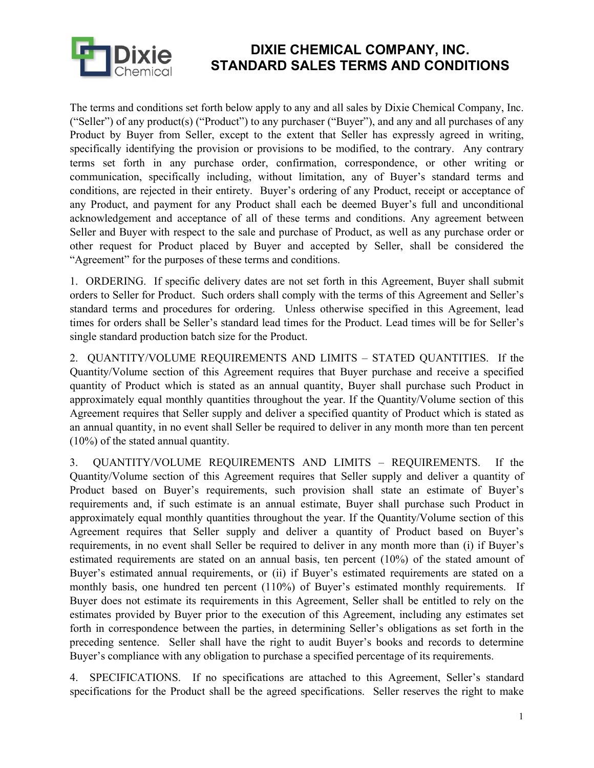

## **DIXIE CHEMICAL COMPANY, INC. STANDARD SALES TERMS AND CONDITIONS**

The terms and conditions set forth below apply to any and all sales by Dixie Chemical Company, Inc. ("Seller") of any product(s) ("Product") to any purchaser ("Buyer"), and any and all purchases of any Product by Buyer from Seller, except to the extent that Seller has expressly agreed in writing, specifically identifying the provision or provisions to be modified, to the contrary. Any contrary terms set forth in any purchase order, confirmation, correspondence, or other writing or communication, specifically including, without limitation, any of Buyer's standard terms and conditions, are rejected in their entirety. Buyer's ordering of any Product, receipt or acceptance of any Product, and payment for any Product shall each be deemed Buyer's full and unconditional acknowledgement and acceptance of all of these terms and conditions. Any agreement between Seller and Buyer with respect to the sale and purchase of Product, as well as any purchase order or other request for Product placed by Buyer and accepted by Seller, shall be considered the "Agreement" for the purposes of these terms and conditions.

1. ORDERING. If specific delivery dates are not set forth in this Agreement, Buyer shall submit orders to Seller for Product. Such orders shall comply with the terms of this Agreement and Seller's standard terms and procedures for ordering. Unless otherwise specified in this Agreement, lead times for orders shall be Seller's standard lead times for the Product. Lead times will be for Seller's single standard production batch size for the Product.

2. QUANTITY/VOLUME REQUIREMENTS AND LIMITS – STATED QUANTITIES. If the Quantity/Volume section of this Agreement requires that Buyer purchase and receive a specified quantity of Product which is stated as an annual quantity, Buyer shall purchase such Product in approximately equal monthly quantities throughout the year. If the Quantity/Volume section of this Agreement requires that Seller supply and deliver a specified quantity of Product which is stated as an annual quantity, in no event shall Seller be required to deliver in any month more than ten percent (10%) of the stated annual quantity.

3. QUANTITY/VOLUME REQUIREMENTS AND LIMITS – REQUIREMENTS. If the Quantity/Volume section of this Agreement requires that Seller supply and deliver a quantity of Product based on Buyer's requirements, such provision shall state an estimate of Buyer's requirements and, if such estimate is an annual estimate, Buyer shall purchase such Product in approximately equal monthly quantities throughout the year. If the Quantity/Volume section of this Agreement requires that Seller supply and deliver a quantity of Product based on Buyer's requirements, in no event shall Seller be required to deliver in any month more than (i) if Buyer's estimated requirements are stated on an annual basis, ten percent (10%) of the stated amount of Buyer's estimated annual requirements, or (ii) if Buyer's estimated requirements are stated on a monthly basis, one hundred ten percent (110%) of Buyer's estimated monthly requirements. If Buyer does not estimate its requirements in this Agreement, Seller shall be entitled to rely on the estimates provided by Buyer prior to the execution of this Agreement, including any estimates set forth in correspondence between the parties, in determining Seller's obligations as set forth in the preceding sentence. Seller shall have the right to audit Buyer's books and records to determine Buyer's compliance with any obligation to purchase a specified percentage of its requirements.

4. SPECIFICATIONS. If no specifications are attached to this Agreement, Seller's standard specifications for the Product shall be the agreed specifications. Seller reserves the right to make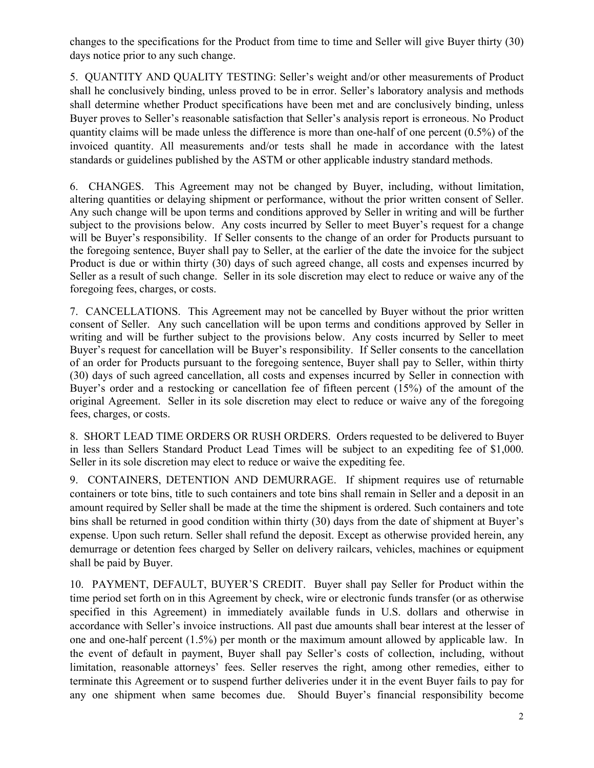changes to the specifications for the Product from time to time and Seller will give Buyer thirty (30) days notice prior to any such change.

5. QUANTITY AND QUALITY TESTING: Seller's weight and/or other measurements of Product shall he conclusively binding, unless proved to be in error. Seller's laboratory analysis and methods shall determine whether Product specifications have been met and are conclusively binding, unless Buyer proves to Seller's reasonable satisfaction that Seller's analysis report is erroneous. No Product quantity claims will be made unless the difference is more than one-half of one percent (0.5%) of the invoiced quantity. All measurements and/or tests shall he made in accordance with the latest standards or guidelines published by the ASTM or other applicable industry standard methods.

6. CHANGES. This Agreement may not be changed by Buyer, including, without limitation, altering quantities or delaying shipment or performance, without the prior written consent of Seller. Any such change will be upon terms and conditions approved by Seller in writing and will be further subject to the provisions below. Any costs incurred by Seller to meet Buyer's request for a change will be Buyer's responsibility. If Seller consents to the change of an order for Products pursuant to the foregoing sentence, Buyer shall pay to Seller, at the earlier of the date the invoice for the subject Product is due or within thirty (30) days of such agreed change, all costs and expenses incurred by Seller as a result of such change. Seller in its sole discretion may elect to reduce or waive any of the foregoing fees, charges, or costs.

7. CANCELLATIONS. This Agreement may not be cancelled by Buyer without the prior written consent of Seller. Any such cancellation will be upon terms and conditions approved by Seller in writing and will be further subject to the provisions below. Any costs incurred by Seller to meet Buyer's request for cancellation will be Buyer's responsibility. If Seller consents to the cancellation of an order for Products pursuant to the foregoing sentence, Buyer shall pay to Seller, within thirty (30) days of such agreed cancellation, all costs and expenses incurred by Seller in connection with Buyer's order and a restocking or cancellation fee of fifteen percent (15%) of the amount of the original Agreement. Seller in its sole discretion may elect to reduce or waive any of the foregoing fees, charges, or costs.

8. SHORT LEAD TIME ORDERS OR RUSH ORDERS. Orders requested to be delivered to Buyer in less than Sellers Standard Product Lead Times will be subject to an expediting fee of \$1,000. Seller in its sole discretion may elect to reduce or waive the expediting fee.

9. CONTAINERS, DETENTION AND DEMURRAGE. If shipment requires use of returnable containers or tote bins, title to such containers and tote bins shall remain in Seller and a deposit in an amount required by Seller shall be made at the time the shipment is ordered. Such containers and tote bins shall be returned in good condition within thirty (30) days from the date of shipment at Buyer's expense. Upon such return. Seller shall refund the deposit. Except as otherwise provided herein, any demurrage or detention fees charged by Seller on delivery railcars, vehicles, machines or equipment shall be paid by Buyer.

10. PAYMENT, DEFAULT, BUYER'S CREDIT. Buyer shall pay Seller for Product within the time period set forth on in this Agreement by check, wire or electronic funds transfer (or as otherwise specified in this Agreement) in immediately available funds in U.S. dollars and otherwise in accordance with Seller's invoice instructions. All past due amounts shall bear interest at the lesser of one and one-half percent (1.5%) per month or the maximum amount allowed by applicable law. In the event of default in payment, Buyer shall pay Seller's costs of collection, including, without limitation, reasonable attorneys' fees. Seller reserves the right, among other remedies, either to terminate this Agreement or to suspend further deliveries under it in the event Buyer fails to pay for any one shipment when same becomes due. Should Buyer's financial responsibility become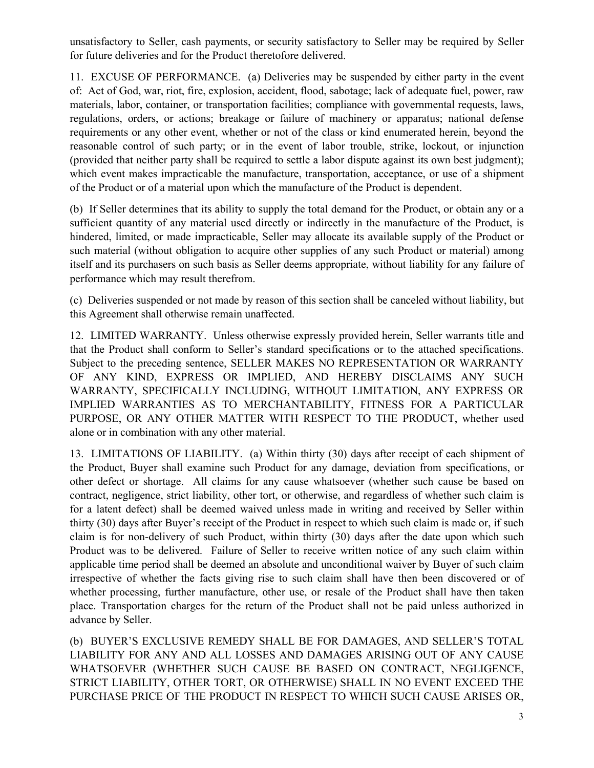unsatisfactory to Seller, cash payments, or security satisfactory to Seller may be required by Seller for future deliveries and for the Product theretofore delivered.

11. EXCUSE OF PERFORMANCE. (a) Deliveries may be suspended by either party in the event of: Act of God, war, riot, fire, explosion, accident, flood, sabotage; lack of adequate fuel, power, raw materials, labor, container, or transportation facilities; compliance with governmental requests, laws, regulations, orders, or actions; breakage or failure of machinery or apparatus; national defense requirements or any other event, whether or not of the class or kind enumerated herein, beyond the reasonable control of such party; or in the event of labor trouble, strike, lockout, or injunction (provided that neither party shall be required to settle a labor dispute against its own best judgment); which event makes impracticable the manufacture, transportation, acceptance, or use of a shipment of the Product or of a material upon which the manufacture of the Product is dependent.

(b) If Seller determines that its ability to supply the total demand for the Product, or obtain any or a sufficient quantity of any material used directly or indirectly in the manufacture of the Product, is hindered, limited, or made impracticable, Seller may allocate its available supply of the Product or such material (without obligation to acquire other supplies of any such Product or material) among itself and its purchasers on such basis as Seller deems appropriate, without liability for any failure of performance which may result therefrom.

(c) Deliveries suspended or not made by reason of this section shall be canceled without liability, but this Agreement shall otherwise remain unaffected.

12. LIMITED WARRANTY. Unless otherwise expressly provided herein, Seller warrants title and that the Product shall conform to Seller's standard specifications or to the attached specifications. Subject to the preceding sentence, SELLER MAKES NO REPRESENTATION OR WARRANTY OF ANY KIND, EXPRESS OR IMPLIED, AND HEREBY DISCLAIMS ANY SUCH WARRANTY, SPECIFICALLY INCLUDING, WITHOUT LIMITATION, ANY EXPRESS OR IMPLIED WARRANTIES AS TO MERCHANTABILITY, FITNESS FOR A PARTICULAR PURPOSE, OR ANY OTHER MATTER WITH RESPECT TO THE PRODUCT, whether used alone or in combination with any other material.

13. LIMITATIONS OF LIABILITY. (a) Within thirty (30) days after receipt of each shipment of the Product, Buyer shall examine such Product for any damage, deviation from specifications, or other defect or shortage. All claims for any cause whatsoever (whether such cause be based on contract, negligence, strict liability, other tort, or otherwise, and regardless of whether such claim is for a latent defect) shall be deemed waived unless made in writing and received by Seller within thirty (30) days after Buyer's receipt of the Product in respect to which such claim is made or, if such claim is for non-delivery of such Product, within thirty (30) days after the date upon which such Product was to be delivered. Failure of Seller to receive written notice of any such claim within applicable time period shall be deemed an absolute and unconditional waiver by Buyer of such claim irrespective of whether the facts giving rise to such claim shall have then been discovered or of whether processing, further manufacture, other use, or resale of the Product shall have then taken place. Transportation charges for the return of the Product shall not be paid unless authorized in advance by Seller.

(b) BUYER'S EXCLUSIVE REMEDY SHALL BE FOR DAMAGES, AND SELLER'S TOTAL LIABILITY FOR ANY AND ALL LOSSES AND DAMAGES ARISING OUT OF ANY CAUSE WHATSOEVER (WHETHER SUCH CAUSE BE BASED ON CONTRACT, NEGLIGENCE, STRICT LIABILITY, OTHER TORT, OR OTHERWISE) SHALL IN NO EVENT EXCEED THE PURCHASE PRICE OF THE PRODUCT IN RESPECT TO WHICH SUCH CAUSE ARISES OR,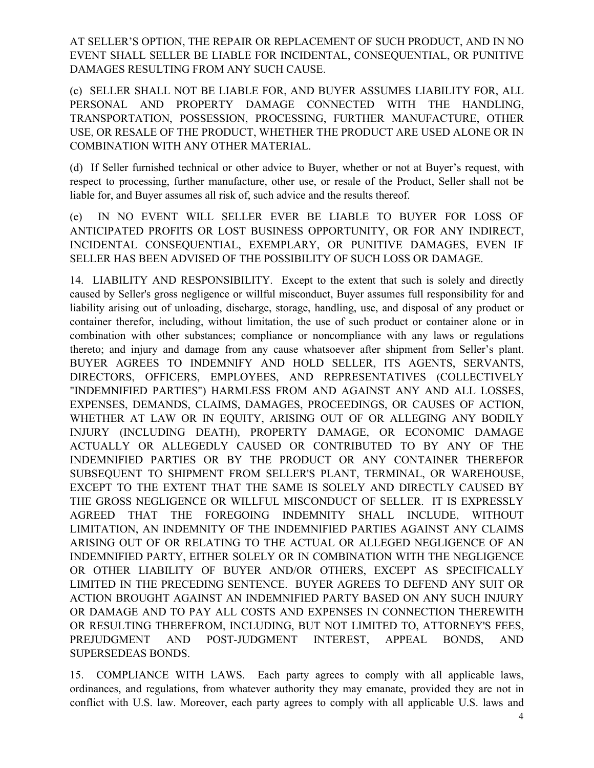AT SELLER'S OPTION, THE REPAIR OR REPLACEMENT OF SUCH PRODUCT, AND IN NO EVENT SHALL SELLER BE LIABLE FOR INCIDENTAL, CONSEQUENTIAL, OR PUNITIVE DAMAGES RESULTING FROM ANY SUCH CAUSE.

(c) SELLER SHALL NOT BE LIABLE FOR, AND BUYER ASSUMES LIABILITY FOR, ALL PERSONAL AND PROPERTY DAMAGE CONNECTED WITH THE HANDLING, TRANSPORTATION, POSSESSION, PROCESSING, FURTHER MANUFACTURE, OTHER USE, OR RESALE OF THE PRODUCT, WHETHER THE PRODUCT ARE USED ALONE OR IN COMBINATION WITH ANY OTHER MATERIAL.

(d) If Seller furnished technical or other advice to Buyer, whether or not at Buyer's request, with respect to processing, further manufacture, other use, or resale of the Product, Seller shall not be liable for, and Buyer assumes all risk of, such advice and the results thereof.

(e) IN NO EVENT WILL SELLER EVER BE LIABLE TO BUYER FOR LOSS OF ANTICIPATED PROFITS OR LOST BUSINESS OPPORTUNITY, OR FOR ANY INDIRECT, INCIDENTAL CONSEQUENTIAL, EXEMPLARY, OR PUNITIVE DAMAGES, EVEN IF SELLER HAS BEEN ADVISED OF THE POSSIBILITY OF SUCH LOSS OR DAMAGE.

14. LIABILITY AND RESPONSIBILITY. Except to the extent that such is solely and directly caused by Seller's gross negligence or willful misconduct, Buyer assumes full responsibility for and liability arising out of unloading, discharge, storage, handling, use, and disposal of any product or container therefor, including, without limitation, the use of such product or container alone or in combination with other substances; compliance or noncompliance with any laws or regulations thereto; and injury and damage from any cause whatsoever after shipment from Seller's plant. BUYER AGREES TO INDEMNIFY AND HOLD SELLER, ITS AGENTS, SERVANTS, DIRECTORS, OFFICERS, EMPLOYEES, AND REPRESENTATIVES (COLLECTIVELY "INDEMNIFIED PARTIES") HARMLESS FROM AND AGAINST ANY AND ALL LOSSES, EXPENSES, DEMANDS, CLAIMS, DAMAGES, PROCEEDINGS, OR CAUSES OF ACTION, WHETHER AT LAW OR IN EQUITY, ARISING OUT OF OR ALLEGING ANY BODILY INJURY (INCLUDING DEATH), PROPERTY DAMAGE, OR ECONOMIC DAMAGE ACTUALLY OR ALLEGEDLY CAUSED OR CONTRIBUTED TO BY ANY OF THE INDEMNIFIED PARTIES OR BY THE PRODUCT OR ANY CONTAINER THEREFOR SUBSEQUENT TO SHIPMENT FROM SELLER'S PLANT, TERMINAL, OR WAREHOUSE, EXCEPT TO THE EXTENT THAT THE SAME IS SOLELY AND DIRECTLY CAUSED BY THE GROSS NEGLIGENCE OR WILLFUL MISCONDUCT OF SELLER. IT IS EXPRESSLY AGREED THAT THE FOREGOING INDEMNITY SHALL INCLUDE, WITHOUT LIMITATION, AN INDEMNITY OF THE INDEMNIFIED PARTIES AGAINST ANY CLAIMS ARISING OUT OF OR RELATING TO THE ACTUAL OR ALLEGED NEGLIGENCE OF AN INDEMNIFIED PARTY, EITHER SOLELY OR IN COMBINATION WITH THE NEGLIGENCE OR OTHER LIABILITY OF BUYER AND/OR OTHERS, EXCEPT AS SPECIFICALLY LIMITED IN THE PRECEDING SENTENCE. BUYER AGREES TO DEFEND ANY SUIT OR ACTION BROUGHT AGAINST AN INDEMNIFIED PARTY BASED ON ANY SUCH INJURY OR DAMAGE AND TO PAY ALL COSTS AND EXPENSES IN CONNECTION THEREWITH OR RESULTING THEREFROM, INCLUDING, BUT NOT LIMITED TO, ATTORNEY'S FEES, PREJUDGMENT AND POST-JUDGMENT INTEREST, APPEAL BONDS, AND SUPERSEDEAS BONDS.

15. COMPLIANCE WITH LAWS. Each party agrees to comply with all applicable laws, ordinances, and regulations, from whatever authority they may emanate, provided they are not in conflict with U.S. law. Moreover, each party agrees to comply with all applicable U.S. laws and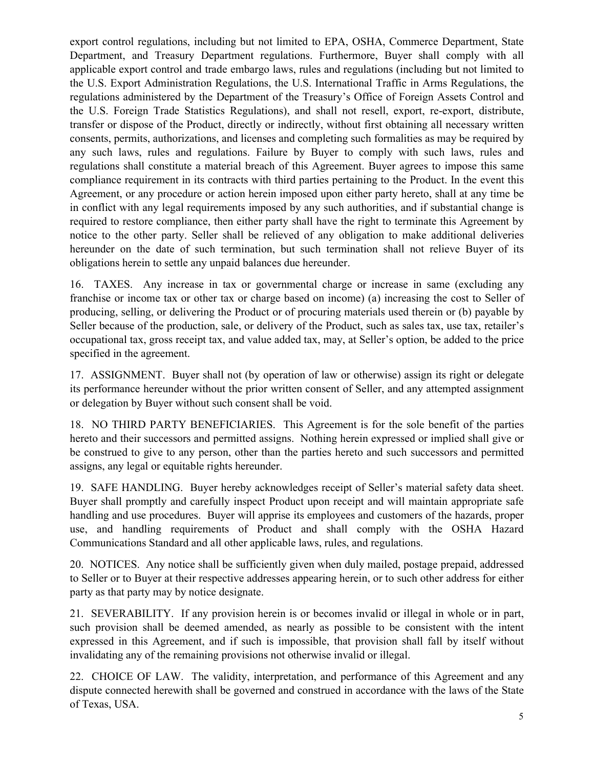export control regulations, including but not limited to EPA, OSHA, Commerce Department, State Department, and Treasury Department regulations. Furthermore, Buyer shall comply with all applicable export control and trade embargo laws, rules and regulations (including but not limited to the U.S. Export Administration Regulations, the U.S. International Traffic in Arms Regulations, the regulations administered by the Department of the Treasury's Office of Foreign Assets Control and the U.S. Foreign Trade Statistics Regulations), and shall not resell, export, re-export, distribute, transfer or dispose of the Product, directly or indirectly, without first obtaining all necessary written consents, permits, authorizations, and licenses and completing such formalities as may be required by any such laws, rules and regulations. Failure by Buyer to comply with such laws, rules and regulations shall constitute a material breach of this Agreement. Buyer agrees to impose this same compliance requirement in its contracts with third parties pertaining to the Product. In the event this Agreement, or any procedure or action herein imposed upon either party hereto, shall at any time be in conflict with any legal requirements imposed by any such authorities, and if substantial change is required to restore compliance, then either party shall have the right to terminate this Agreement by notice to the other party. Seller shall be relieved of any obligation to make additional deliveries hereunder on the date of such termination, but such termination shall not relieve Buyer of its obligations herein to settle any unpaid balances due hereunder.

16. TAXES. Any increase in tax or governmental charge or increase in same (excluding any franchise or income tax or other tax or charge based on income) (a) increasing the cost to Seller of producing, selling, or delivering the Product or of procuring materials used therein or (b) payable by Seller because of the production, sale, or delivery of the Product, such as sales tax, use tax, retailer's occupational tax, gross receipt tax, and value added tax, may, at Seller's option, be added to the price specified in the agreement.

17. ASSIGNMENT. Buyer shall not (by operation of law or otherwise) assign its right or delegate its performance hereunder without the prior written consent of Seller, and any attempted assignment or delegation by Buyer without such consent shall be void.

18. NO THIRD PARTY BENEFICIARIES. This Agreement is for the sole benefit of the parties hereto and their successors and permitted assigns. Nothing herein expressed or implied shall give or be construed to give to any person, other than the parties hereto and such successors and permitted assigns, any legal or equitable rights hereunder.

19. SAFE HANDLING. Buyer hereby acknowledges receipt of Seller's material safety data sheet. Buyer shall promptly and carefully inspect Product upon receipt and will maintain appropriate safe handling and use procedures. Buyer will apprise its employees and customers of the hazards, proper use, and handling requirements of Product and shall comply with the OSHA Hazard Communications Standard and all other applicable laws, rules, and regulations.

20. NOTICES. Any notice shall be sufficiently given when duly mailed, postage prepaid, addressed to Seller or to Buyer at their respective addresses appearing herein, or to such other address for either party as that party may by notice designate.

21. SEVERABILITY. If any provision herein is or becomes invalid or illegal in whole or in part, such provision shall be deemed amended, as nearly as possible to be consistent with the intent expressed in this Agreement, and if such is impossible, that provision shall fall by itself without invalidating any of the remaining provisions not otherwise invalid or illegal.

22. CHOICE OF LAW. The validity, interpretation, and performance of this Agreement and any dispute connected herewith shall be governed and construed in accordance with the laws of the State of Texas, USA.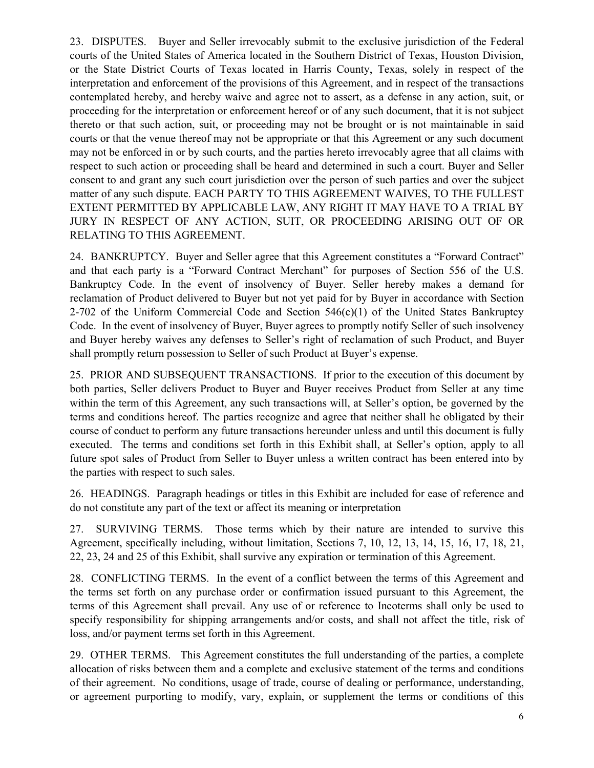23. DISPUTES. Buyer and Seller irrevocably submit to the exclusive jurisdiction of the Federal courts of the United States of America located in the Southern District of Texas, Houston Division, or the State District Courts of Texas located in Harris County, Texas, solely in respect of the interpretation and enforcement of the provisions of this Agreement, and in respect of the transactions contemplated hereby, and hereby waive and agree not to assert, as a defense in any action, suit, or proceeding for the interpretation or enforcement hereof or of any such document, that it is not subject thereto or that such action, suit, or proceeding may not be brought or is not maintainable in said courts or that the venue thereof may not be appropriate or that this Agreement or any such document may not be enforced in or by such courts, and the parties hereto irrevocably agree that all claims with respect to such action or proceeding shall be heard and determined in such a court. Buyer and Seller consent to and grant any such court jurisdiction over the person of such parties and over the subject matter of any such dispute. EACH PARTY TO THIS AGREEMENT WAIVES, TO THE FULLEST EXTENT PERMITTED BY APPLICABLE LAW, ANY RIGHT IT MAY HAVE TO A TRIAL BY JURY IN RESPECT OF ANY ACTION, SUIT, OR PROCEEDING ARISING OUT OF OR RELATING TO THIS AGREEMENT.

24. BANKRUPTCY. Buyer and Seller agree that this Agreement constitutes a "Forward Contract" and that each party is a "Forward Contract Merchant" for purposes of Section 556 of the U.S. Bankruptcy Code. In the event of insolvency of Buyer. Seller hereby makes a demand for reclamation of Product delivered to Buyer but not yet paid for by Buyer in accordance with Section 2-702 of the Uniform Commercial Code and Section  $546(c)(1)$  of the United States Bankruptcy Code. In the event of insolvency of Buyer, Buyer agrees to promptly notify Seller of such insolvency and Buyer hereby waives any defenses to Seller's right of reclamation of such Product, and Buyer shall promptly return possession to Seller of such Product at Buyer's expense.

25. PRIOR AND SUBSEQUENT TRANSACTIONS. If prior to the execution of this document by both parties, Seller delivers Product to Buyer and Buyer receives Product from Seller at any time within the term of this Agreement, any such transactions will, at Seller's option, be governed by the terms and conditions hereof. The parties recognize and agree that neither shall he obligated by their course of conduct to perform any future transactions hereunder unless and until this document is fully executed. The terms and conditions set forth in this Exhibit shall, at Seller's option, apply to all future spot sales of Product from Seller to Buyer unless a written contract has been entered into by the parties with respect to such sales.

26. HEADINGS. Paragraph headings or titles in this Exhibit are included for ease of reference and do not constitute any part of the text or affect its meaning or interpretation

27. SURVIVING TERMS. Those terms which by their nature are intended to survive this Agreement, specifically including, without limitation, Sections 7, 10, 12, 13, 14, 15, 16, 17, 18, 21, 22, 23, 24 and 25 of this Exhibit, shall survive any expiration or termination of this Agreement.

28. CONFLICTING TERMS. In the event of a conflict between the terms of this Agreement and the terms set forth on any purchase order or confirmation issued pursuant to this Agreement, the terms of this Agreement shall prevail. Any use of or reference to Incoterms shall only be used to specify responsibility for shipping arrangements and/or costs, and shall not affect the title, risk of loss, and/or payment terms set forth in this Agreement.

29. OTHER TERMS. This Agreement constitutes the full understanding of the parties, a complete allocation of risks between them and a complete and exclusive statement of the terms and conditions of their agreement. No conditions, usage of trade, course of dealing or performance, understanding, or agreement purporting to modify, vary, explain, or supplement the terms or conditions of this